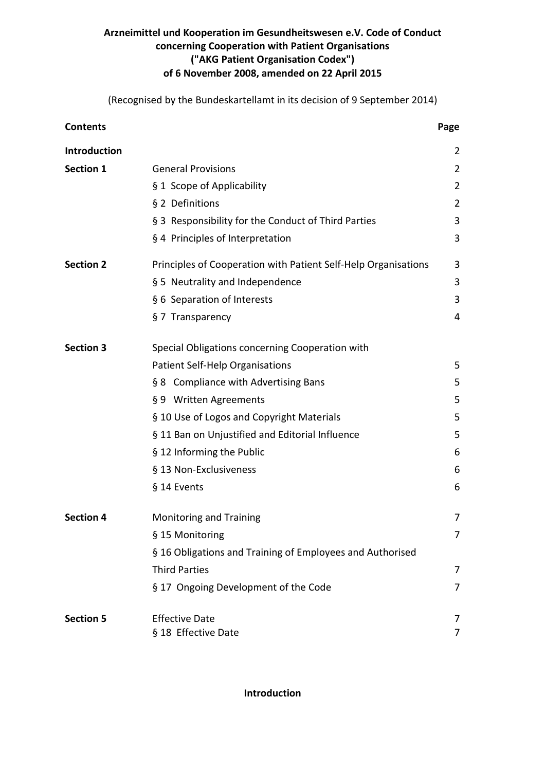# **Arzneimittel und Kooperation im Gesundheitswesen e.V. Code of Conduct concerning Cooperation with Patient Organisations ("AKG Patient Organisation Codex") of 6 November 2008, amended on 22 April 2015**

(Recognised by the Bundeskartellamt in its decision of 9 September 2014)

| <b>Contents</b>  |                                                                | Page           |
|------------------|----------------------------------------------------------------|----------------|
| Introduction     |                                                                | 2              |
| <b>Section 1</b> | <b>General Provisions</b>                                      | 2              |
|                  | § 1 Scope of Applicability                                     | 2              |
|                  | § 2 Definitions                                                | $\overline{2}$ |
|                  | § 3 Responsibility for the Conduct of Third Parties            | 3              |
|                  | § 4 Principles of Interpretation                               | 3              |
| <b>Section 2</b> | Principles of Cooperation with Patient Self-Help Organisations | 3              |
|                  | § 5 Neutrality and Independence                                | 3              |
|                  | § 6 Separation of Interests                                    | 3              |
|                  | § 7 Transparency                                               | 4              |
| <b>Section 3</b> | Special Obligations concerning Cooperation with                |                |
|                  | Patient Self-Help Organisations                                | 5              |
|                  | § 8 Compliance with Advertising Bans                           | 5              |
|                  | § 9 Written Agreements                                         | 5              |
|                  | § 10 Use of Logos and Copyright Materials                      | 5              |
|                  | § 11 Ban on Unjustified and Editorial Influence                | 5              |
|                  | § 12 Informing the Public                                      | 6              |
|                  | § 13 Non-Exclusiveness                                         | 6              |
|                  | § 14 Events                                                    | 6              |
| <b>Section 4</b> | <b>Monitoring and Training</b>                                 | 7              |
|                  | § 15 Monitoring                                                | 7              |
|                  | § 16 Obligations and Training of Employees and Authorised      |                |
|                  | <b>Third Parties</b>                                           | 7              |
|                  | § 17 Ongoing Development of the Code                           | 7              |
| <b>Section 5</b> | <b>Effective Date</b>                                          | 7              |
|                  | § 18 Effective Date                                            | 7              |

**Introduction**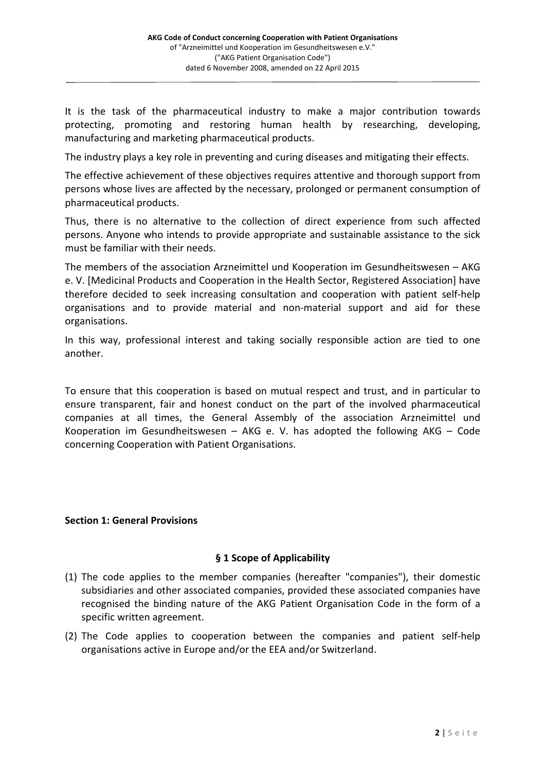It is the task of the pharmaceutical industry to make a major contribution towards protecting, promoting and restoring human health by researching, developing, manufacturing and marketing pharmaceutical products.

The industry plays a key role in preventing and curing diseases and mitigating their effects.

The effective achievement of these objectives requires attentive and thorough support from persons whose lives are affected by the necessary, prolonged or permanent consumption of pharmaceutical products.

Thus, there is no alternative to the collection of direct experience from such affected persons. Anyone who intends to provide appropriate and sustainable assistance to the sick must be familiar with their needs.

The members of the association Arzneimittel und Kooperation im Gesundheitswesen – AKG e. V. [Medicinal Products and Cooperation in the Health Sector, Registered Association] have therefore decided to seek increasing consultation and cooperation with patient self-help organisations and to provide material and non-material support and aid for these organisations.

In this way, professional interest and taking socially responsible action are tied to one another.

To ensure that this cooperation is based on mutual respect and trust, and in particular to ensure transparent, fair and honest conduct on the part of the involved pharmaceutical companies at all times, the General Assembly of the association Arzneimittel und Kooperation im Gesundheitswesen – AKG e. V. has adopted the following AKG – Code concerning Cooperation with Patient Organisations.

## **Section 1: General Provisions**

### **§ 1 Scope of Applicability**

- (1) The code applies to the member companies (hereafter "companies"), their domestic subsidiaries and other associated companies, provided these associated companies have recognised the binding nature of the AKG Patient Organisation Code in the form of a specific written agreement.
- (2) The Code applies to cooperation between the companies and patient self-help organisations active in Europe and/or the EEA and/or Switzerland.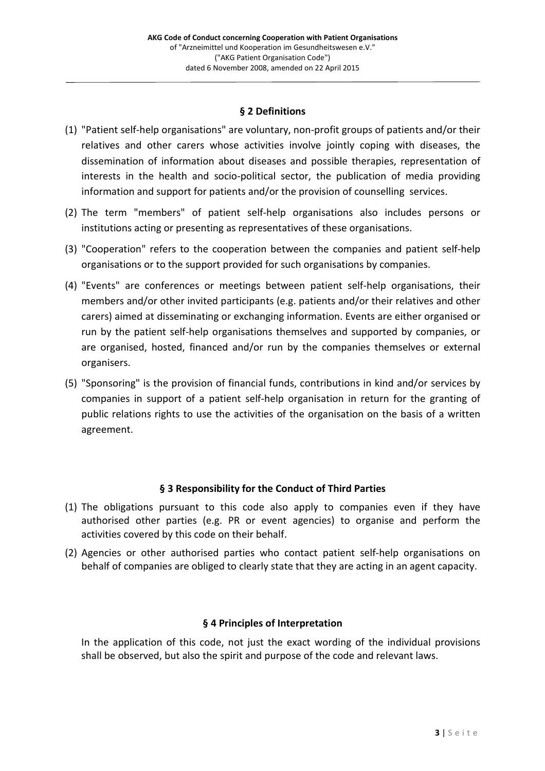## **§ 2 Definitions**

- (1) "Patient self-help organisations" are voluntary, non-profit groups of patients and/or their relatives and other carers whose activities involve jointly coping with diseases, the dissemination of information about diseases and possible therapies, representation of interests in the health and socio-political sector, the publication of media providing information and support for patients and/or the provision of counselling services.
- (2) The term "members" of patient self-help organisations also includes persons or institutions acting or presenting as representatives of these organisations.
- (3) "Cooperation" refers to the cooperation between the companies and patient self-help organisations or to the support provided for such organisations by companies.
- (4) "Events" are conferences or meetings between patient self-help organisations, their members and/or other invited participants (e.g. patients and/or their relatives and other carers) aimed at disseminating or exchanging information. Events are either organised or run by the patient self-help organisations themselves and supported by companies, or are organised, hosted, financed and/or run by the companies themselves or external organisers.
- (5) "Sponsoring" is the provision of financial funds, contributions in kind and/or services by companies in support of a patient self-help organisation in return for the granting of public relations rights to use the activities of the organisation on the basis of a written agreement.

## **§ 3 Responsibility for the Conduct of Third Parties**

- (1) The obligations pursuant to this code also apply to companies even if they have authorised other parties (e.g. PR or event agencies) to organise and perform the activities covered by this code on their behalf.
- (2) Agencies or other authorised parties who contact patient self-help organisations on behalf of companies are obliged to clearly state that they are acting in an agent capacity.

### **§ 4 Principles of Interpretation**

In the application of this code, not just the exact wording of the individual provisions shall be observed, but also the spirit and purpose of the code and relevant laws.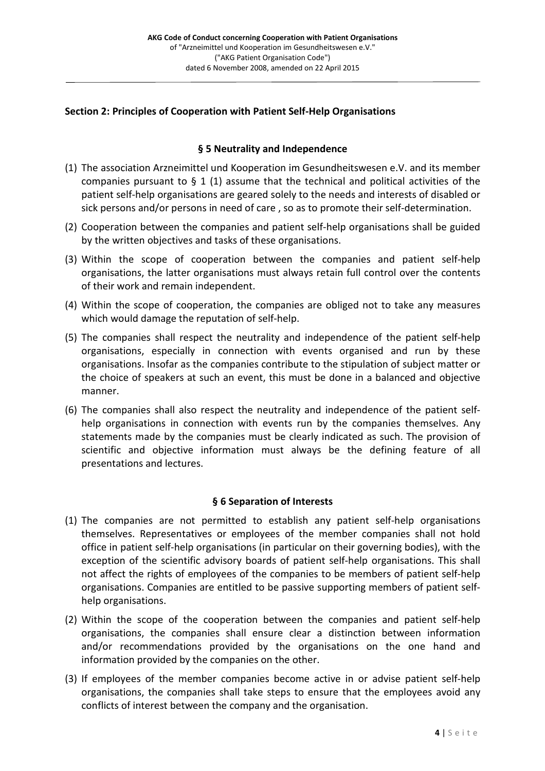### **Section 2: Principles of Cooperation with Patient Self-Help Organisations**

### **§ 5 Neutrality and Independence**

- (1) The association Arzneimittel und Kooperation im Gesundheitswesen e.V. and its member companies pursuant to  $\S$  1 (1) assume that the technical and political activities of the patient self-help organisations are geared solely to the needs and interests of disabled or sick persons and/or persons in need of care , so as to promote their self-determination.
- (2) Cooperation between the companies and patient self-help organisations shall be guided by the written objectives and tasks of these organisations.
- (3) Within the scope of cooperation between the companies and patient self-help organisations, the latter organisations must always retain full control over the contents of their work and remain independent.
- (4) Within the scope of cooperation, the companies are obliged not to take any measures which would damage the reputation of self-help.
- (5) The companies shall respect the neutrality and independence of the patient self-help organisations, especially in connection with events organised and run by these organisations. Insofar as the companies contribute to the stipulation of subject matter or the choice of speakers at such an event, this must be done in a balanced and objective manner.
- (6) The companies shall also respect the neutrality and independence of the patient selfhelp organisations in connection with events run by the companies themselves. Any statements made by the companies must be clearly indicated as such. The provision of scientific and objective information must always be the defining feature of all presentations and lectures.

### **§ 6 Separation of Interests**

- (1) The companies are not permitted to establish any patient self-help organisations themselves. Representatives or employees of the member companies shall not hold office in patient self-help organisations (in particular on their governing bodies), with the exception of the scientific advisory boards of patient self-help organisations. This shall not affect the rights of employees of the companies to be members of patient self-help organisations. Companies are entitled to be passive supporting members of patient selfhelp organisations.
- (2) Within the scope of the cooperation between the companies and patient self-help organisations, the companies shall ensure clear a distinction between information and/or recommendations provided by the organisations on the one hand and information provided by the companies on the other.
- (3) If employees of the member companies become active in or advise patient self-help organisations, the companies shall take steps to ensure that the employees avoid any conflicts of interest between the company and the organisation.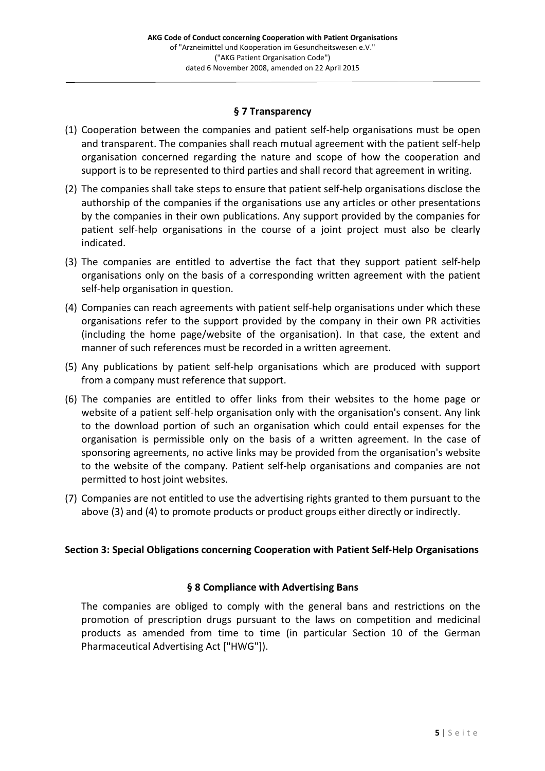### **§ 7 Transparency**

- (1) Cooperation between the companies and patient self-help organisations must be open and transparent. The companies shall reach mutual agreement with the patient self-help organisation concerned regarding the nature and scope of how the cooperation and support is to be represented to third parties and shall record that agreement in writing.
- (2) The companies shall take steps to ensure that patient self-help organisations disclose the authorship of the companies if the organisations use any articles or other presentations by the companies in their own publications. Any support provided by the companies for patient self-help organisations in the course of a joint project must also be clearly indicated.
- (3) The companies are entitled to advertise the fact that they support patient self-help organisations only on the basis of a corresponding written agreement with the patient self-help organisation in question.
- (4) Companies can reach agreements with patient self-help organisations under which these organisations refer to the support provided by the company in their own PR activities (including the home page/website of the organisation). In that case, the extent and manner of such references must be recorded in a written agreement.
- (5) Any publications by patient self-help organisations which are produced with support from a company must reference that support.
- (6) The companies are entitled to offer links from their websites to the home page or website of a patient self-help organisation only with the organisation's consent. Any link to the download portion of such an organisation which could entail expenses for the organisation is permissible only on the basis of a written agreement. In the case of sponsoring agreements, no active links may be provided from the organisation's website to the website of the company. Patient self-help organisations and companies are not permitted to host joint websites.
- (7) Companies are not entitled to use the advertising rights granted to them pursuant to the above (3) and (4) to promote products or product groups either directly or indirectly.

### **Section 3: Special Obligations concerning Cooperation with Patient Self-Help Organisations**

### **§ 8 Compliance with Advertising Bans**

The companies are obliged to comply with the general bans and restrictions on the promotion of prescription drugs pursuant to the laws on competition and medicinal products as amended from time to time (in particular Section 10 of the German Pharmaceutical Advertising Act ["HWG"]).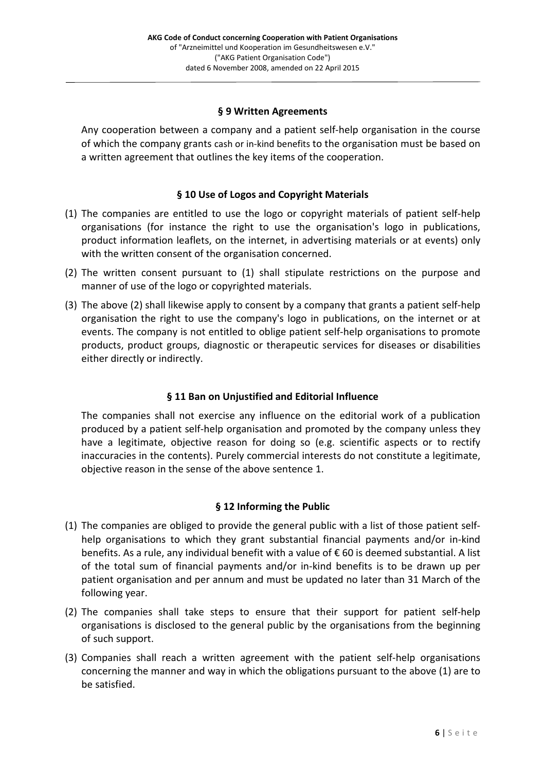### **§ 9 Written Agreements**

Any cooperation between a company and a patient self-help organisation in the course of which the company grants cash or in-kind benefits to the organisation must be based on a written agreement that outlines the key items of the cooperation.

### **§ 10 Use of Logos and Copyright Materials**

- (1) The companies are entitled to use the logo or copyright materials of patient self-help organisations (for instance the right to use the organisation's logo in publications, product information leaflets, on the internet, in advertising materials or at events) only with the written consent of the organisation concerned.
- (2) The written consent pursuant to (1) shall stipulate restrictions on the purpose and manner of use of the logo or copyrighted materials.
- (3) The above (2) shall likewise apply to consent by a company that grants a patient self-help organisation the right to use the company's logo in publications, on the internet or at events. The company is not entitled to oblige patient self-help organisations to promote products, product groups, diagnostic or therapeutic services for diseases or disabilities either directly or indirectly.

## **§ 11 Ban on Unjustified and Editorial Influence**

The companies shall not exercise any influence on the editorial work of a publication produced by a patient self-help organisation and promoted by the company unless they have a legitimate, objective reason for doing so (e.g. scientific aspects or to rectify inaccuracies in the contents). Purely commercial interests do not constitute a legitimate, objective reason in the sense of the above sentence 1.

### **§ 12 Informing the Public**

- (1) The companies are obliged to provide the general public with a list of those patient selfhelp organisations to which they grant substantial financial payments and/or in-kind benefits. As a rule, any individual benefit with a value of € 60 is deemed substantial. A list of the total sum of financial payments and/or in-kind benefits is to be drawn up per patient organisation and per annum and must be updated no later than 31 March of the following year.
- (2) The companies shall take steps to ensure that their support for patient self-help organisations is disclosed to the general public by the organisations from the beginning of such support.
- (3) Companies shall reach a written agreement with the patient self-help organisations concerning the manner and way in which the obligations pursuant to the above (1) are to be satisfied.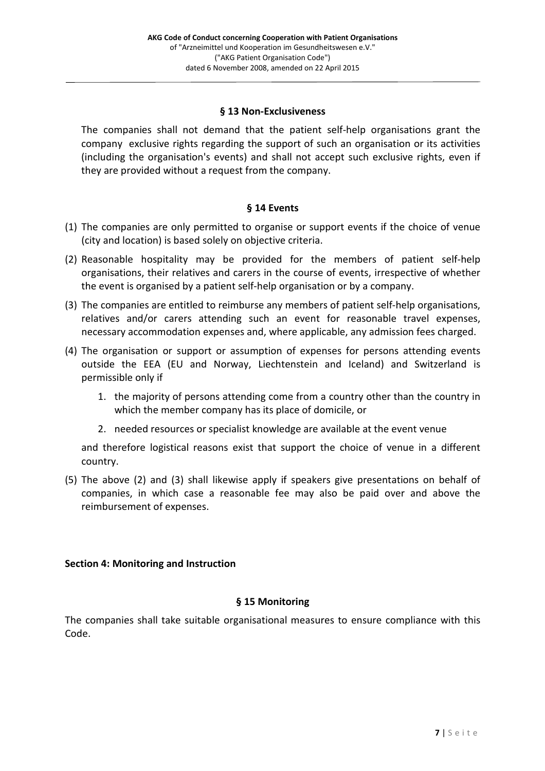### **§ 13 Non-Exclusiveness**

The companies shall not demand that the patient self-help organisations grant the company exclusive rights regarding the support of such an organisation or its activities (including the organisation's events) and shall not accept such exclusive rights, even if they are provided without a request from the company.

### **§ 14 Events**

- (1) The companies are only permitted to organise or support events if the choice of venue (city and location) is based solely on objective criteria.
- (2) Reasonable hospitality may be provided for the members of patient self-help organisations, their relatives and carers in the course of events, irrespective of whether the event is organised by a patient self-help organisation or by a company.
- (3) The companies are entitled to reimburse any members of patient self-help organisations, relatives and/or carers attending such an event for reasonable travel expenses, necessary accommodation expenses and, where applicable, any admission fees charged.
- (4) The organisation or support or assumption of expenses for persons attending events outside the EEA (EU and Norway, Liechtenstein and Iceland) and Switzerland is permissible only if
	- 1. the majority of persons attending come from a country other than the country in which the member company has its place of domicile, or
	- 2. needed resources or specialist knowledge are available at the event venue

and therefore logistical reasons exist that support the choice of venue in a different country.

(5) The above (2) and (3) shall likewise apply if speakers give presentations on behalf of companies, in which case a reasonable fee may also be paid over and above the reimbursement of expenses.

### **Section 4: Monitoring and Instruction**

## **§ 15 Monitoring**

The companies shall take suitable organisational measures to ensure compliance with this Code.